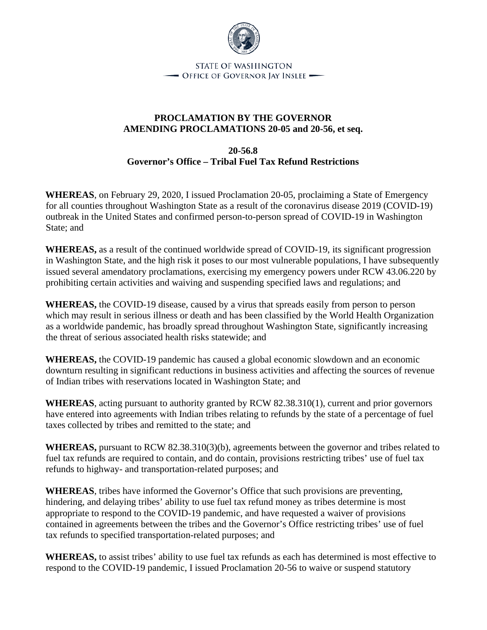

**STATE OF WASHINGTON** - OFFICE OF GOVERNOR JAY INSLEE -

## **PROCLAMATION BY THE GOVERNOR AMENDING PROCLAMATIONS 20-05 and 20-56, et seq.**

**20-56.8 Governor's Office – Tribal Fuel Tax Refund Restrictions** 

**WHEREAS**, on February 29, 2020, I issued Proclamation 20-05, proclaiming a State of Emergency for all counties throughout Washington State as a result of the coronavirus disease 2019 (COVID-19) outbreak in the United States and confirmed person-to-person spread of COVID-19 in Washington State; and

**WHEREAS,** as a result of the continued worldwide spread of COVID-19, its significant progression in Washington State, and the high risk it poses to our most vulnerable populations, I have subsequently issued several amendatory proclamations, exercising my emergency powers under RCW 43.06.220 by prohibiting certain activities and waiving and suspending specified laws and regulations; and

**WHEREAS,** the COVID-19 disease, caused by a virus that spreads easily from person to person which may result in serious illness or death and has been classified by the World Health Organization as a worldwide pandemic, has broadly spread throughout Washington State, significantly increasing the threat of serious associated health risks statewide; and

**WHEREAS,** the COVID-19 pandemic has caused a global economic slowdown and an economic downturn resulting in significant reductions in business activities and affecting the sources of revenue of Indian tribes with reservations located in Washington State; and

**WHEREAS**, acting pursuant to authority granted by RCW 82.38.310(1), current and prior governors have entered into agreements with Indian tribes relating to refunds by the state of a percentage of fuel taxes collected by tribes and remitted to the state; and

**WHEREAS,** pursuant to RCW 82.38.310(3)(b), agreements between the governor and tribes related to fuel tax refunds are required to contain, and do contain, provisions restricting tribes' use of fuel tax refunds to highway- and transportation-related purposes; and

**WHEREAS**, tribes have informed the Governor's Office that such provisions are preventing, hindering, and delaying tribes' ability to use fuel tax refund money as tribes determine is most appropriate to respond to the COVID-19 pandemic, and have requested a waiver of provisions contained in agreements between the tribes and the Governor's Office restricting tribes' use of fuel tax refunds to specified transportation-related purposes; and

**WHEREAS,** to assist tribes' ability to use fuel tax refunds as each has determined is most effective to respond to the COVID-19 pandemic, I issued Proclamation 20-56 to waive or suspend statutory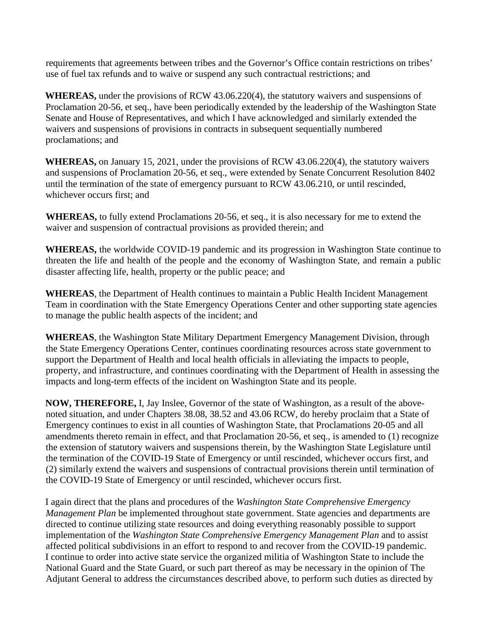requirements that agreements between tribes and the Governor's Office contain restrictions on tribes' use of fuel tax refunds and to waive or suspend any such contractual restrictions; and

**WHEREAS,** under the provisions of RCW 43.06.220(4), the statutory waivers and suspensions of Proclamation 20-56, et seq., have been periodically extended by the leadership of the Washington State Senate and House of Representatives, and which I have acknowledged and similarly extended the waivers and suspensions of provisions in contracts in subsequent sequentially numbered proclamations; and

**WHEREAS,** on January 15, 2021, under the provisions of RCW 43.06.220(4), the statutory waivers and suspensions of Proclamation 20-56, et seq., were extended by Senate Concurrent Resolution 8402 until the termination of the state of emergency pursuant to RCW 43.06.210, or until rescinded, whichever occurs first; and

**WHEREAS,** to fully extend Proclamations 20-56, et seq., it is also necessary for me to extend the waiver and suspension of contractual provisions as provided therein; and

**WHEREAS,** the worldwide COVID-19 pandemic and its progression in Washington State continue to threaten the life and health of the people and the economy of Washington State, and remain a public disaster affecting life, health, property or the public peace; and

**WHEREAS**, the Department of Health continues to maintain a Public Health Incident Management Team in coordination with the State Emergency Operations Center and other supporting state agencies to manage the public health aspects of the incident; and

**WHEREAS**, the Washington State Military Department Emergency Management Division, through the State Emergency Operations Center, continues coordinating resources across state government to support the Department of Health and local health officials in alleviating the impacts to people, property, and infrastructure, and continues coordinating with the Department of Health in assessing the impacts and long-term effects of the incident on Washington State and its people.

**NOW, THEREFORE,** I, Jay Inslee, Governor of the state of Washington, as a result of the abovenoted situation, and under Chapters 38.08, 38.52 and 43.06 RCW, do hereby proclaim that a State of Emergency continues to exist in all counties of Washington State, that Proclamations 20-05 and all amendments thereto remain in effect, and that Proclamation 20-56, et seq., is amended to (1) recognize the extension of statutory waivers and suspensions therein, by the Washington State Legislature until the termination of the COVID-19 State of Emergency or until rescinded, whichever occurs first, and (2) similarly extend the waivers and suspensions of contractual provisions therein until termination of the COVID-19 State of Emergency or until rescinded, whichever occurs first.

I again direct that the plans and procedures of the *Washington State Comprehensive Emergency Management Plan* be implemented throughout state government. State agencies and departments are directed to continue utilizing state resources and doing everything reasonably possible to support implementation of the *Washington State Comprehensive Emergency Management Plan* and to assist affected political subdivisions in an effort to respond to and recover from the COVID-19 pandemic. I continue to order into active state service the organized militia of Washington State to include the National Guard and the State Guard, or such part thereof as may be necessary in the opinion of The Adjutant General to address the circumstances described above, to perform such duties as directed by